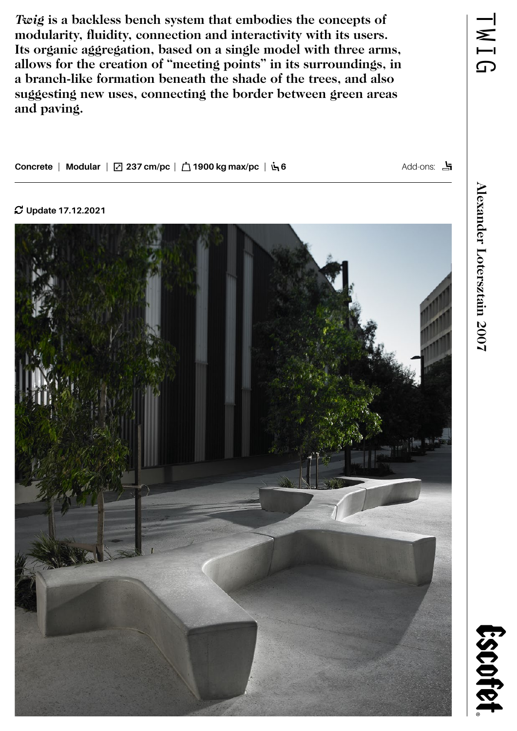*Twig* **is a backless bench system that embodies the concepts of modularity, fluidity, connection and interactivity with its users. Its organic aggregation, based on a single model with three arms, allows for the creation of "meeting points" in its surroundings, in a branch-like formation beneath the shade of the trees, and also suggesting new uses, connecting the border between green areas and paving.**

 **Update 17.12.2021**



**Alexander Lotersztain 2007**

Alexander Lotersztain 2007

100\$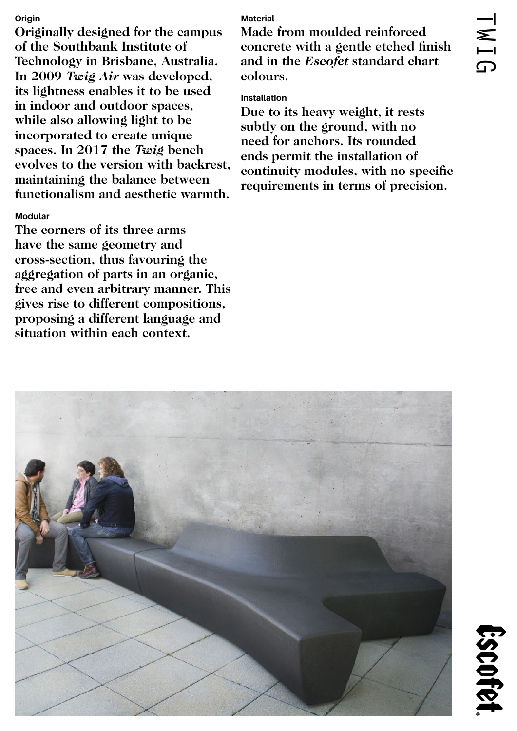### **Origin**

**Originally designed for the campus of the Southbank Institute of Technology in Brisbane, Australia. In 2009** *Twig Air* **was developed, its lightness enables it to be used in indoor and outdoor spaces, while also allowing light to be incorporated to create unique spaces. In 2017 the** *Twig* **bench evolves to the version with backrest, maintaining the balance between functionalism and aesthetic warmth.** 

## **Modular**

**The corners of its three arms have the same geometry and cross-section, thus favouring the aggregation of parts in an organic, free and even arbitrary manner. This gives rise to different compositions, proposing a different language and situation within each context.** 

### **Material**

**Made from moulded reinforced concrete with a gentle etched finish and in the** *Escofet* **standard chart colours.**

### **Installation**

**Due to its heavy weight, it rests subtly on the ground, with no need for anchors. Its rounded ends permit the installation of continuity modules, with no specific requirements in terms of precision.**



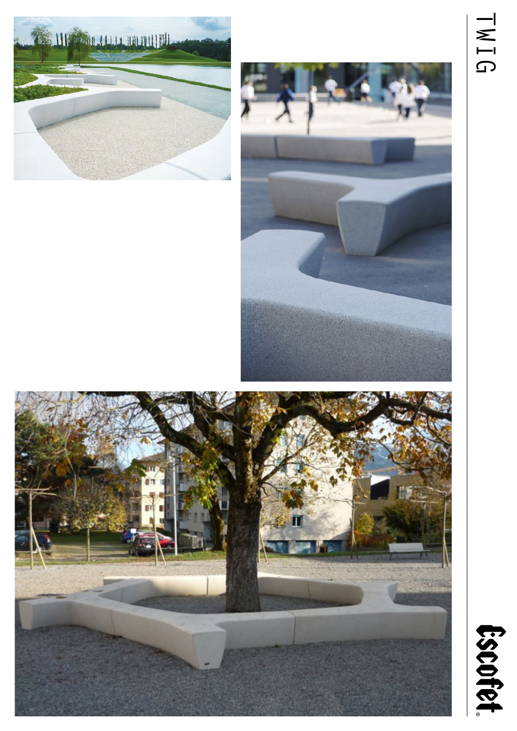





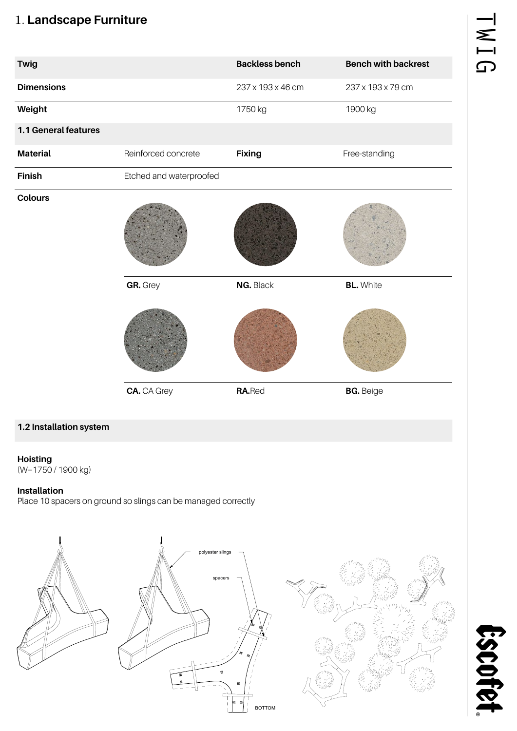# 1. **Landscape Furniture**



**SSCI**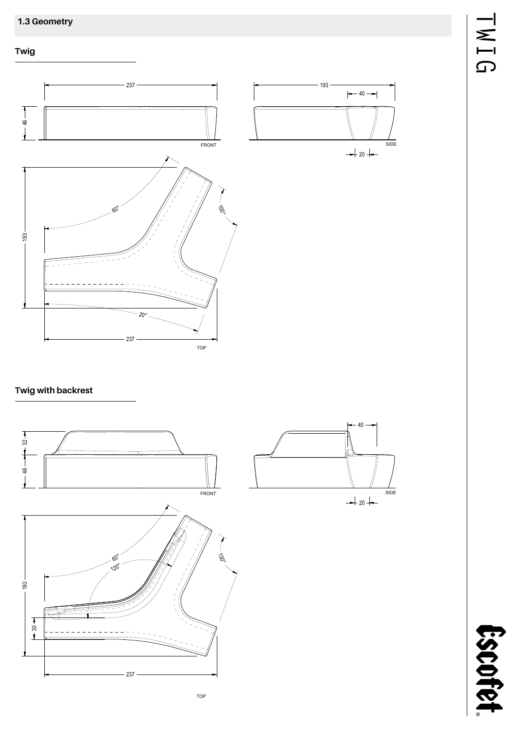### **Twig**



### **Twig with backrest**







# **Escofet**